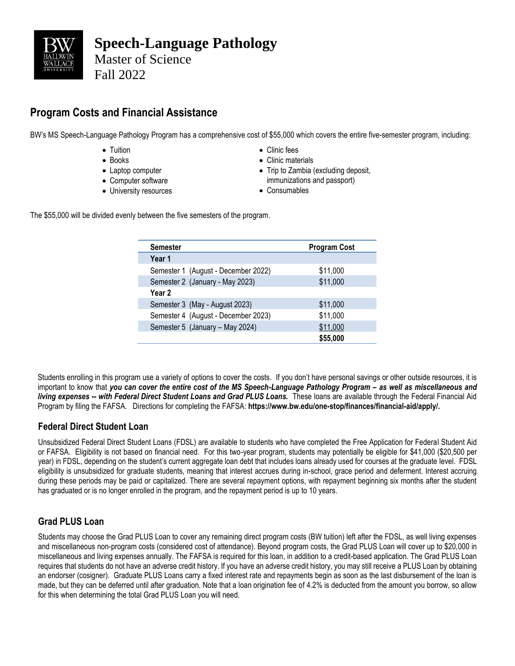

# **Program Costs and Financial Assistance**

BW's MS Speech-Language Pathology Program has a comprehensive cost of \$55,000 which covers the entire five-semester program, including:

- Tuition
- Books
- Laptop computer
- Computer software
- University resources
- Clinic fees
- Clinic materials
- Trip to Zambia (excluding deposit, immunizations and passport)
- Consumables

The \$55,000 will be divided evenly between the five semesters of the program.

| <b>Semester</b> |                                     | <b>Program Cost</b> |  |
|-----------------|-------------------------------------|---------------------|--|
| Year 1          |                                     |                     |  |
|                 | Semester 1 (August - December 2022) | \$11,000            |  |
|                 | Semester 2 (January - May 2023)     | \$11,000            |  |
| Year 2          |                                     |                     |  |
|                 | Semester 3 (May - August 2023)      | \$11,000            |  |
|                 | Semester 4 (August - December 2023) | \$11,000            |  |
|                 | Semester 5 (January - May 2024)     | \$11,000            |  |
|                 |                                     | \$55,000            |  |

Students enrolling in this program use a variety of options to cover the costs. If you don't have personal savings or other outside resources, it is important to know that you can cover the entire cost of the MS Speech-Language Pathology Program - as well as miscellaneous and *living expenses -- with Federal Direct Student Loans and Grad PLUS Loans.* These loans are available through the Federal Financial Aid Program by filing the FAFSA. Directions for completing the FAFSA: **https://www.bw.edu/one-stop/finances/financial-aid/apply/.**

# **Federal Direct Student Loan**

Unsubsidized Federal Direct Student Loans (FDSL) are available to students who have completed the Free Application for Federal Student Aid or FAFSA. Eligibility is not based on financial need. For this two-year program, students may potentially be eligible for \$41,000 (\$20,500 per year) in FDSL, depending on the student's current aggregate loan debt that includes loans already used for courses at the graduate level. FDSL eligibility is unsubsidized for graduate students, meaning that interest accrues during in-school, grace period and deferment. Interest accruing during these periods may be paid or capitalized. There are several repayment options, with repayment beginning six months after the student has graduated or is no longer enrolled in the program, and the repayment period is up to 10 years.

# **Grad PLUS Loan**

Students may choose the Grad PLUS Loan to cover any remaining direct program costs (BW tuition) left after the FDSL, as well living expenses and miscellaneous non-program costs (considered cost of attendance). Beyond program costs, the Grad PLUS Loan will cover up to \$20,000 in miscellaneous and living expenses annually. The FAFSA is required for this loan, in addition to a credit-based application. The Grad PLUS Loan requires that students do not have an adverse credit history. If you have an adverse credit history, you may still receive a PLUS Loan by obtaining an endorser (cosigner). Graduate PLUS Loans carry a fixed interest rate and repayments begin as soon as the last disbursement of the loan is made, but they can be deferred until after graduation. Note that a loan origination fee of 4.2% is deducted from the amount you borrow, so allow for this when determining the total Grad PLUS Loan you will need.